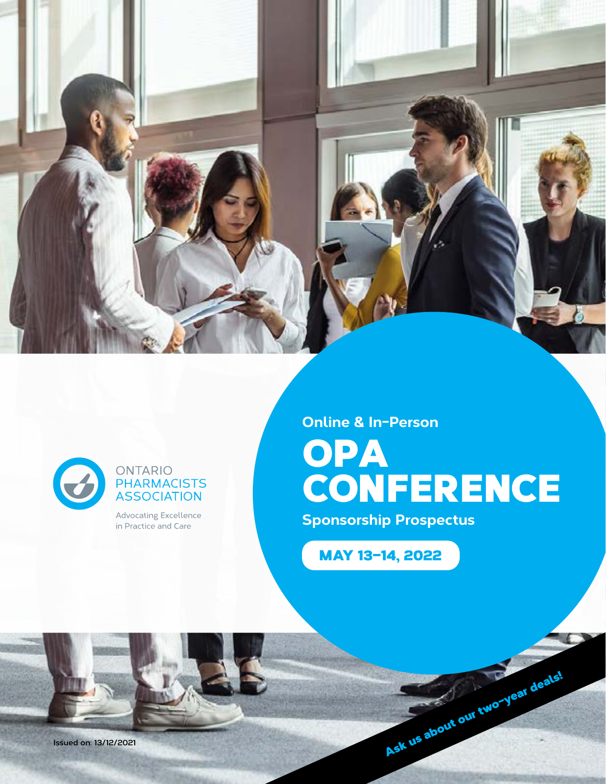



#### ONTARIO **PHARMACISTS ASSOCIATION**

Advocating Excellence in Practice and Care

**Online & In-Person**

# **OPA CONFERENCE**

**Sponsorship Prospectus**

MAY 13–14, 2022

Issued on: 13/12/2021<br>Ask us about our two-year deals!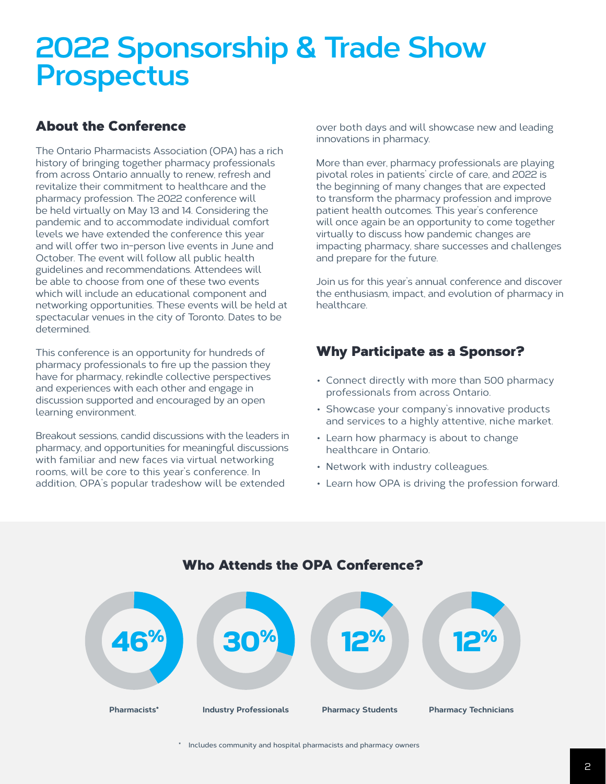# **2022 Sponsorship & Trade Show Prospectus**

#### About the Conference

The Ontario Pharmacists Association (OPA) has a rich history of bringing together pharmacy professionals from across Ontario annually to renew, refresh and revitalize their commitment to healthcare and the pharmacy profession. The 2022 conference will be held virtually on May 13 and 14. Considering the pandemic and to accommodate individual comfort levels we have extended the conference this year and will offer two in-person live events in June and October. The event will follow all public health guidelines and recommendations. Attendees will be able to choose from one of these two events which will include an educational component and networking opportunities. These events will be held at spectacular venues in the city of Toronto. Dates to be determined.

This conference is an opportunity for hundreds of pharmacy professionals to fire up the passion they have for pharmacy, rekindle collective perspectives and experiences with each other and engage in discussion supported and encouraged by an open learning environment.

Breakout sessions, candid discussions with the leaders in pharmacy, and opportunities for meaningful discussions with familiar and new faces via virtual networking rooms, will be core to this year's conference. In addition, OPA's popular tradeshow will be extended

over both days and will showcase new and leading innovations in pharmacy.

More than ever, pharmacy professionals are playing pivotal roles in patients' circle of care, and 2022 is the beginning of many changes that are expected to transform the pharmacy profession and improve patient health outcomes. This year's conference will once again be an opportunity to come together virtually to discuss how pandemic changes are impacting pharmacy, share successes and challenges and prepare for the future.

Join us for this year's annual conference and discover the enthusiasm, impact, and evolution of pharmacy in healthcare.

#### Why Participate as a Sponsor?

- Connect directly with more than 500 pharmacy professionals from across Ontario.
- Showcase your company's innovative products and services to a highly attentive, niche market.
- Learn how pharmacy is about to change healthcare in Ontario.
- Network with industry colleagues.
- Learn how OPA is driving the profession forward.



**\* Includes community and hospital pharmacists and pharmacy owners**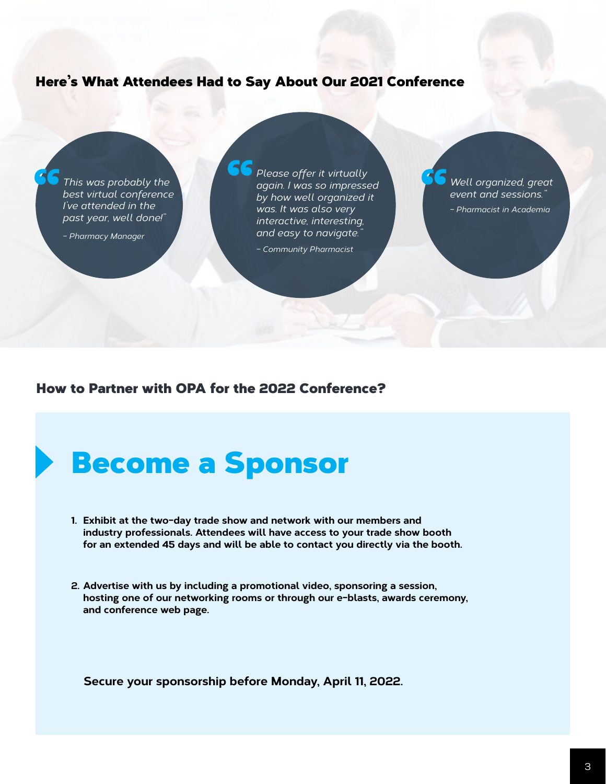#### Here's What Attendees Had to Say About Our 2021 Conference

*This was probably the best virtual conference I've attended in the*  " *past year, well done!"*

*– Pharmacy Manager*

*Please offer it virtually again. I was so impressed by how well organized it was. It was also very interactive, interesting, and easy to navigate."*  CC<br>0

*– Community Pharmacist*

*Well organized, great event and sessions."* " *– Pharmacist in Academia*

#### How to Partner with OPA for the 2022 Conference?

## Become a Sponsor

- **1. Exhibit at the two-day trade show and network with our members and industry professionals. Attendees will have access to your trade show booth for an extended 45 days and will be able to contact you directly via the booth.**
- **2. Advertise with us by including a promotional video, sponsoring a session, hosting one of our networking rooms or through our e-blasts, awards ceremony, and conference web page.**

**Secure your sponsorship before Monday, April 11, 2022.**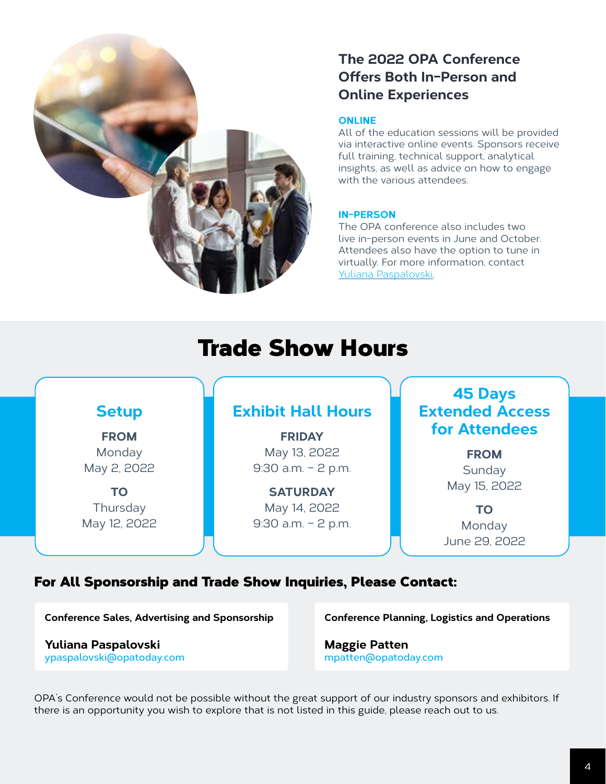

#### **The 2022 OPA Conference Offers Both In-Person and Online Experiences**

#### **ONLINE**

All of the education sessions will be provided via interactive online events. Sponsors receive full training, technical support, analytical insights, as well as advice on how to engage with the various attendees.

#### **IN-PERSON**

The OPA conference also includes two live in-person events in June and October. Attendees also have the option to tune in virtually. For more information, contact [Yuliana Paspalovski](mailto:Yuliana%20Paspalovski?subject=Conference%202022%20-%20In-person%20query).

### Trade Show Hours



#### For All Sponsorship and Trade Show Inquiries, Please Contact:

**[Conference Sales, Advertising and Sponsorship](mailto:ypaspalovski@opatoday.com)**

**Yuliana Paspalovski ypaspalovski@opatoday.com** **[Conference Planning, Logistics and Operations](mailto:mpatten@opatoday.com)**

**Maggie Patten mpatten@opatoday.com**

OPA's Conference would not be possible without the great support of our industry sponsors and exhibitors. If there is an opportunity you wish to explore that is not listed in this guide, please reach out to us.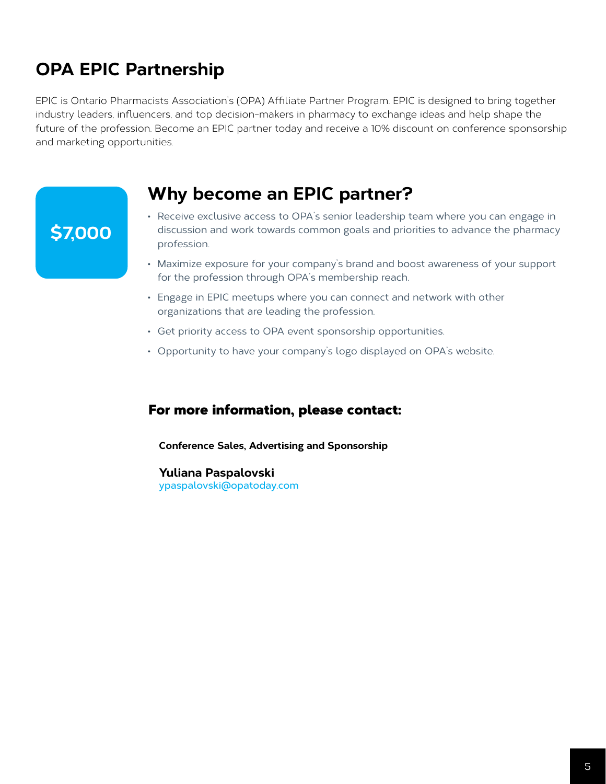### **OPA EPIC Partnership**

EPIC is Ontario Pharmacists Association's (OPA) Affiliate Partner Program. EPIC is designed to bring together industry leaders, influencers, and top decision-makers in pharmacy to exchange ideas and help shape the future of the profession. Become an EPIC partner today and receive a 10% discount on conference sponsorship and marketing opportunities.

### **Why become an EPIC partner?**

### **\$7,000**

- Receive exclusive access to OPA's senior leadership team where you can engage in discussion and work towards common goals and priorities to advance the pharmacy profession.
- Maximize exposure for your company's brand and boost awareness of your support for the profession through OPA's membership reach.
- Engage in EPIC meetups where you can connect and network with other organizations that are leading the profession.
- Get priority access to OPA event sponsorship opportunities.
- Opportunity to have your company's logo displayed on OPA's website.

#### For more information, please contact:

**[Conference Sales, Advertising and Sponsorship](mailto:ypaspalovski@opatoday.com)**

**Yuliana Paspalovski ypaspalovski@opatoday.com**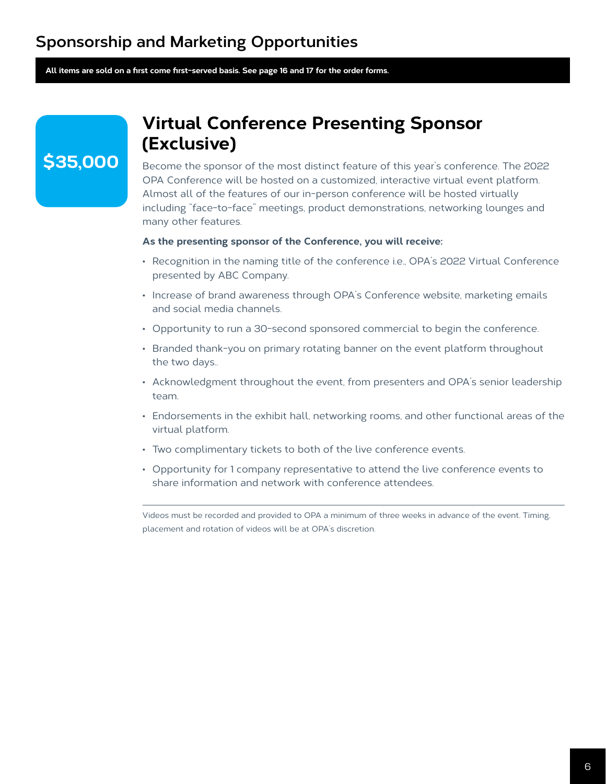**All items are sold on a first come first-served basis. See page 16 and 17 for the order forms.**

### **\$35,000**

### **Virtual Conference Presenting Sponsor (Exclusive)**

Become the sponsor of the most distinct feature of this year's conference. The 2022 OPA Conference will be hosted on a customized, interactive virtual event platform. Almost all of the features of our in-person conference will be hosted virtually including "face-to-face" meetings, product demonstrations, networking lounges and many other features.

#### **As the presenting sponsor of the Conference, you will receive:**

- Recognition in the naming title of the conference i.e., OPA's 2022 Virtual Conference presented by ABC Company.
- Increase of brand awareness through OPA's Conference website, marketing emails and social media channels.
- Opportunity to run a 30-second sponsored commercial to begin the conference.
- Branded thank-you on primary rotating banner on the event platform throughout the two days..
- Acknowledgment throughout the event, from presenters and OPA's senior leadership team.
- Endorsements in the exhibit hall, networking rooms, and other functional areas of the virtual platform.
- Two complimentary tickets to both of the live conference events.
- Opportunity for 1 company representative to attend the live conference events to share information and network with conference attendees.

Videos must be recorded and provided to OPA a minimum of three weeks in advance of the event. Timing, placement and rotation of videos will be at OPA's discretion.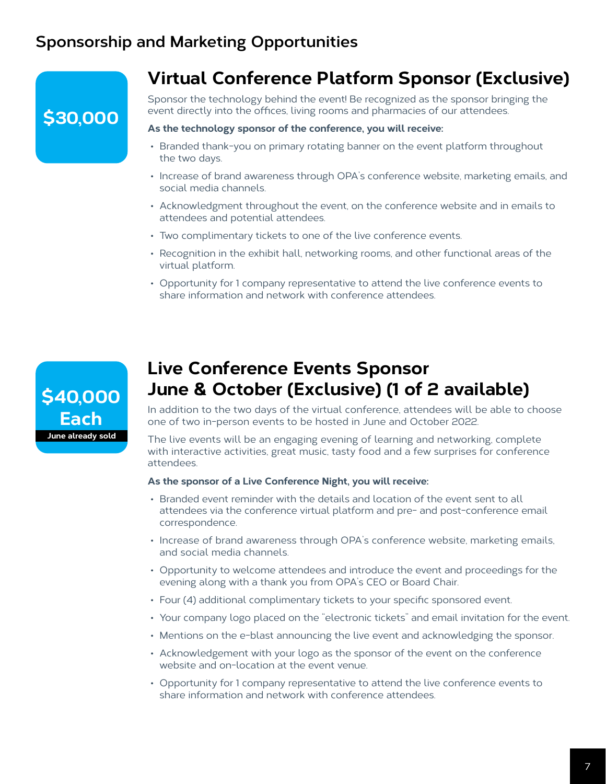### **\$30,000**

### **Virtual Conference Platform Sponsor (Exclusive)**

Sponsor the technology behind the event! Be recognized as the sponsor bringing the event directly into the offices, living rooms and pharmacies of our attendees.

#### **As the technology sponsor of the conference, you will receive:**

- Branded thank-you on primary rotating banner on the event platform throughout the two days.
- Increase of brand awareness through OPA's conference website, marketing emails, and social media channels.
- Acknowledgment throughout the event, on the conference website and in emails to attendees and potential attendees.
- Two complimentary tickets to one of the live conference events.
- Recognition in the exhibit hall, networking rooms, and other functional areas of the virtual platform.
- Opportunity for 1 company representative to attend the live conference events to share information and network with conference attendees.



### **Live Conference Events Sponsor June & October (Exclusive) (1 of 2 available)**

In addition to the two days of the virtual conference, attendees will be able to choose one of two in-person events to be hosted in June and October 2022.

The live events will be an engaging evening of learning and networking, complete with interactive activities, great music, tasty food and a few surprises for conference attendees.

#### **As the sponsor of a Live Conference Night, you will receive:**

- Branded event reminder with the details and location of the event sent to all attendees via the conference virtual platform and pre- and post-conference email correspondence.
- Increase of brand awareness through OPA's conference website, marketing emails, and social media channels.
- Opportunity to welcome attendees and introduce the event and proceedings for the evening along with a thank you from OPA's CEO or Board Chair.
- Four (4) additional complimentary tickets to your specific sponsored event.
- Your company logo placed on the "electronic tickets" and email invitation for the event.
- Mentions on the e-blast announcing the live event and acknowledging the sponsor.
- Acknowledgement with your logo as the sponsor of the event on the conference website and on-location at the event venue.
- Opportunity for 1 company representative to attend the live conference events to share information and network with conference attendees.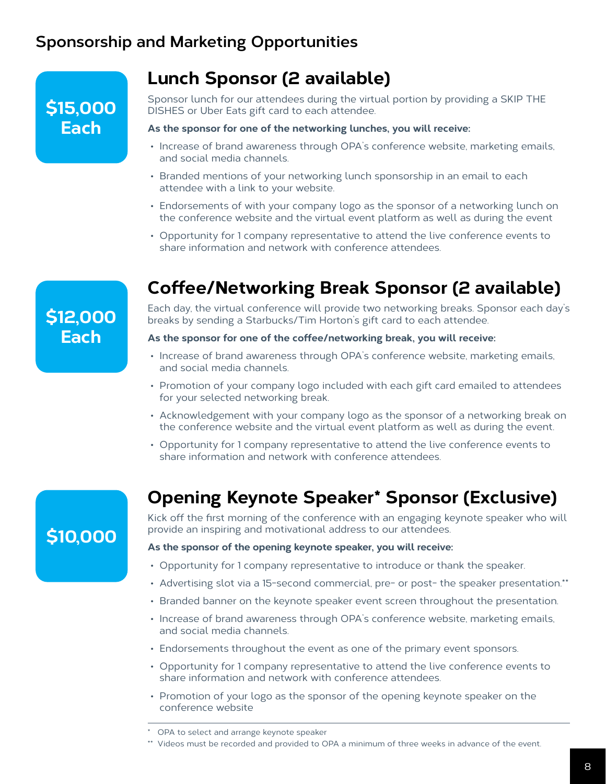### **\$15,000 Each**

### **Lunch Sponsor (2 available)**

Sponsor lunch for our attendees during the virtual portion by providing a SKIP THE DISHES or Uber Eats gift card to each attendee.

#### **As the sponsor for one of the networking lunches, you will receive:**

- Increase of brand awareness through OPA's conference website, marketing emails, and social media channels.
- Branded mentions of your networking lunch sponsorship in an email to each attendee with a link to your website.
- Endorsements of with your company logo as the sponsor of a networking lunch on the conference website and the virtual event platform as well as during the event
- Opportunity for 1 company representative to attend the live conference events to share information and network with conference attendees.

### **\$12,000 Each**

### **Coffee/Networking Break Sponsor (2 available)**

Each day, the virtual conference will provide two networking breaks. Sponsor each day's breaks by sending a Starbucks/Tim Horton's gift card to each attendee.

#### **As the sponsor for one of the coffee/networking break, you will receive:**

- Increase of brand awareness through OPA's conference website, marketing emails, and social media channels.
- Promotion of your company logo included with each gift card emailed to attendees for your selected networking break.
- Acknowledgement with your company logo as the sponsor of a networking break on the conference website and the virtual event platform as well as during the event.
- Opportunity for 1 company representative to attend the live conference events to share information and network with conference attendees.

### **\$10,000**

### **Opening Keynote Speaker\* Sponsor (Exclusive)**

Kick off the first morning of the conference with an engaging keynote speaker who will provide an inspiring and motivational address to our attendees.

#### **As the sponsor of the opening keynote speaker, you will receive:**

- Opportunity for 1 company representative to introduce or thank the speaker.
- Advertising slot via a 15-second commercial, pre- or post- the speaker presentation.\*\*
- Branded banner on the keynote speaker event screen throughout the presentation.
- Increase of brand awareness through OPA's conference website, marketing emails, and social media channels.
- Endorsements throughout the event as one of the primary event sponsors.
- Opportunity for 1 company representative to attend the live conference events to share information and network with conference attendees.
- Promotion of your logo as the sponsor of the opening keynote speaker on the conference website

<sup>\*</sup> OPA to select and arrange keynote speaker

<sup>\*\*</sup> Videos must be recorded and provided to OPA a minimum of three weeks in advance of the event.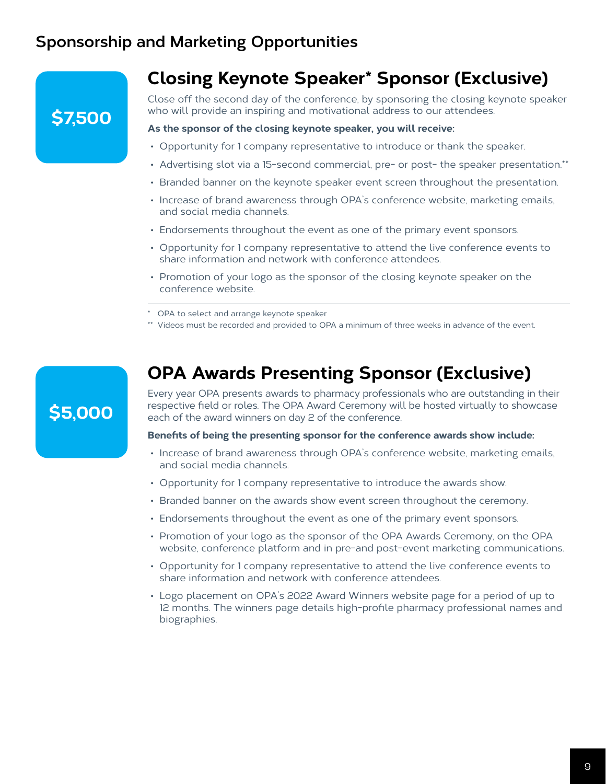### **Closing Keynote Speaker\* Sponsor (Exclusive)**

Close off the second day of the conference, by sponsoring the closing keynote speaker who will provide an inspiring and motivational address to our attendees.

#### **As the sponsor of the closing keynote speaker, you will receive:**

- Opportunity for 1 company representative to introduce or thank the speaker.
- Advertising slot via a 15-second commercial, pre- or post- the speaker presentation.\*\*
- Branded banner on the keynote speaker event screen throughout the presentation.
- Increase of brand awareness through OPA's conference website, marketing emails, and social media channels.
- Endorsements throughout the event as one of the primary event sponsors.
- Opportunity for 1 company representative to attend the live conference events to share information and network with conference attendees.
- Promotion of your logo as the sponsor of the closing keynote speaker on the conference website.
- OPA to select and arrange keynote speaker
- \*\* Videos must be recorded and provided to OPA a minimum of three weeks in advance of the event.

### **OPA Awards Presenting Sponsor (Exclusive)**

Every year OPA presents awards to pharmacy professionals who are outstanding in their respective field or roles. The OPA Award Ceremony will be hosted virtually to showcase each of the award winners on day 2 of the conference.

**Benefits of being the presenting sponsor for the conference awards show include:**

- Increase of brand awareness through OPA's conference website, marketing emails, and social media channels.
- Opportunity for 1 company representative to introduce the awards show.
- Branded banner on the awards show event screen throughout the ceremony.
- Endorsements throughout the event as one of the primary event sponsors.
- Promotion of your logo as the sponsor of the OPA Awards Ceremony, on the OPA website, conference platform and in pre-and post-event marketing communications.
- Opportunity for 1 company representative to attend the live conference events to share information and network with conference attendees.
- Logo placement on OPA's 2022 Award Winners website page for a period of up to 12 months. The winners page details high-profile pharmacy professional names and biographies.

### **\$5,000**

**\$7,500**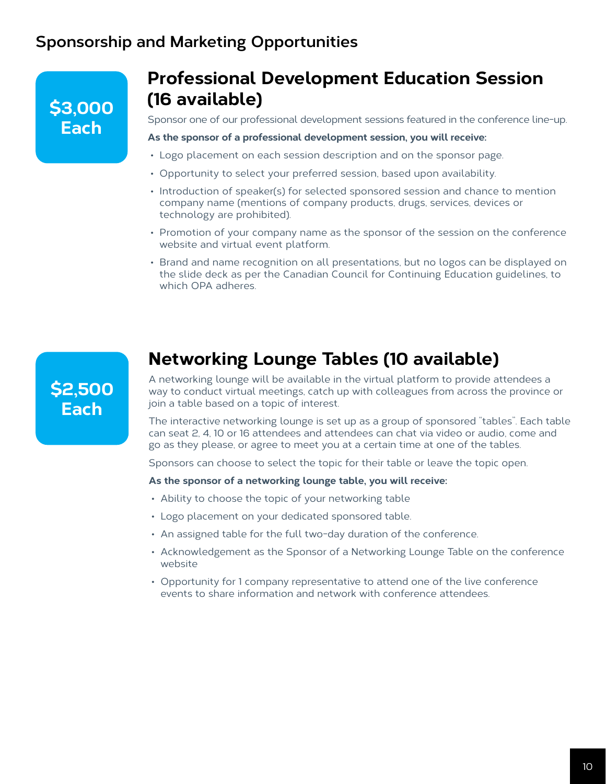### **\$3,000 Each**

### **Professional Development Education Session (16 available)**

Sponsor one of our professional development sessions featured in the conference line-up.

#### **As the sponsor of a professional development session, you will receive:**

- Logo placement on each session description and on the sponsor page.
- Opportunity to select your preferred session, based upon availability.
- Introduction of speaker(s) for selected sponsored session and chance to mention company name (mentions of company products, drugs, services, devices or technology are prohibited).
- Promotion of your company name as the sponsor of the session on the conference website and virtual event platform.
- Brand and name recognition on all presentations, but no logos can be displayed on the slide deck as per the Canadian Council for Continuing Education guidelines, to which OPA adheres.



### **Networking Lounge Tables (10 available)**

A networking lounge will be available in the virtual platform to provide attendees a way to conduct virtual meetings, catch up with colleagues from across the province or join a table based on a topic of interest.

The interactive networking lounge is set up as a group of sponsored "tables". Each table can seat 2, 4, 10 or 16 attendees and attendees can chat via video or audio, come and go as they please, or agree to meet you at a certain time at one of the tables.

Sponsors can choose to select the topic for their table or leave the topic open.

#### **As the sponsor of a networking lounge table, you will receive:**

- Ability to choose the topic of your networking table
- Logo placement on your dedicated sponsored table.
- An assigned table for the full two-day duration of the conference.
- Acknowledgement as the Sponsor of a Networking Lounge Table on the conference website
- Opportunity for 1 company representative to attend one of the live conference events to share information and network with conference attendees.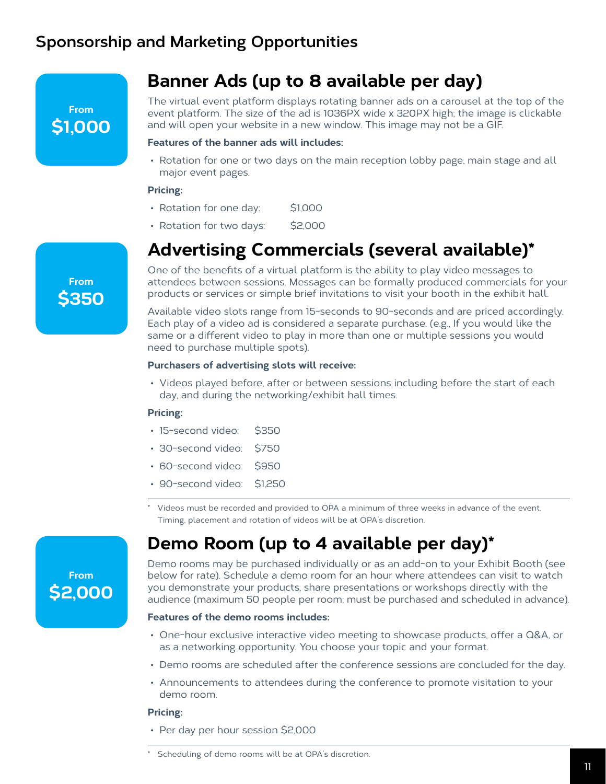**From \$1,000**

### **Banner Ads (up to 8 available per day)**

The virtual event platform displays rotating banner ads on a carousel at the top of the event platform. The size of the ad is 1036PX wide x 320PX high; the image is clickable and will open your website in a new window. This image may not be a GIF.

#### **Features of the banner ads will includes:**

• Rotation for one or two days on the main reception lobby page, main stage and all major event pages.

#### **Pricing:**

- Rotation for one day: \$1,000
- Rotation for two days: \$2,000

### **Advertising Commercials (several available)\***

One of the benefits of a virtual platform is the ability to play video messages to attendees between sessions. Messages can be formally produced commercials for your products or services or simple brief invitations to visit your booth in the exhibit hall.

Available video slots range from 15-seconds to 90-seconds and are priced accordingly. Each play of a video ad is considered a separate purchase. (e.g., If you would like the same or a different video to play in more than one or multiple sessions you would need to purchase multiple spots).

#### **Purchasers of advertising slots will receive:**

• Videos played before, after or between sessions including before the start of each day, and during the networking/exhibit hall times.

#### **Pricing:**

- 15-second video: \$350
- 30-second video: \$750
- 60-second video: \$950
- 90-second video: \$1,250
- Videos must be recorded and provided to OPA a minimum of three weeks in advance of the event. Timing, placement and rotation of videos will be at OPA's discretion.

### **Demo Room (up to 4 available per day)\***

Demo rooms may be purchased individually or as an add-on to your Exhibit Booth (see below for rate). Schedule a demo room for an hour where attendees can visit to watch you demonstrate your products, share presentations or workshops directly with the audience (maximum 50 people per room; must be purchased and scheduled in advance).

#### **Features of the demo rooms includes:**

- One-hour exclusive interactive video meeting to showcase products, offer a Q&A, or as a networking opportunity. You choose your topic and your format.
- Demo rooms are scheduled after the conference sessions are concluded for the day.
- Announcements to attendees during the conference to promote visitation to your demo room.

#### **Pricing:**

• Per day per hour session \$2,000

**From**

**From \$2,000**

Scheduling of demo rooms will be at OPA's discretion.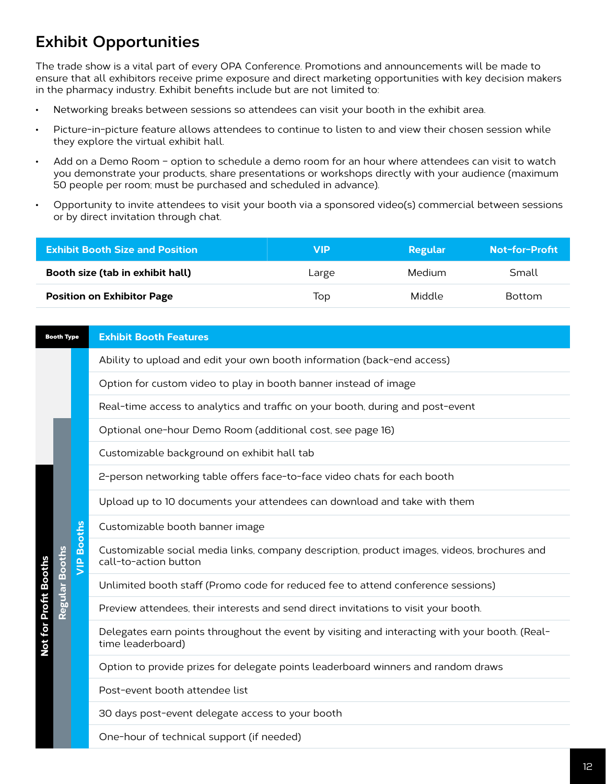### **Exhibit Opportunities**

The trade show is a vital part of every OPA Conference. Promotions and announcements will be made to ensure that all exhibitors receive prime exposure and direct marketing opportunities with key decision makers in the pharmacy industry. Exhibit benefits include but are not limited to:

- Networking breaks between sessions so attendees can visit your booth in the exhibit area.
- Picture-in-picture feature allows attendees to continue to listen to and view their chosen session while they explore the virtual exhibit hall.
- Add on a Demo Room option to schedule a demo room for an hour where attendees can visit to watch you demonstrate your products, share presentations or workshops directly with your audience (maximum 50 people per room; must be purchased and scheduled in advance).
- Opportunity to invite attendees to visit your booth via a sponsored video(s) commercial between sessions or by direct invitation through chat.

| <b>Exhibit Booth Size and Position</b> | VIP   | Regular | Not-for-Profit |
|----------------------------------------|-------|---------|----------------|
| Booth size (tab in exhibit hall)       | Large | Medium  | Small          |
| <b>Position on Exhibitor Page</b>      | Top   | Middle  | <b>Bottom</b>  |

| <b>Booth Type</b>     |                   | <b>Exhibit Booth Features</b>                                                                                        |
|-----------------------|-------------------|----------------------------------------------------------------------------------------------------------------------|
|                       |                   | Ability to upload and edit your own booth information (back-end access)                                              |
|                       |                   | Option for custom video to play in booth banner instead of image                                                     |
|                       |                   | Real-time access to analytics and traffic on your booth, during and post-event                                       |
|                       |                   | Optional one-hour Demo Room (additional cost, see page 16)                                                           |
|                       |                   | Customizable background on exhibit hall tab                                                                          |
|                       |                   | 2-person networking table offers face-to-face video chats for each booth                                             |
|                       |                   | Upload up to 10 documents your attendees can download and take with them                                             |
|                       |                   | Customizable booth banner image                                                                                      |
| <b>Booths</b>         | <b>VIP Booths</b> | Customizable social media links, company description, product images, videos, brochures and<br>call-to-action button |
|                       |                   | Unlimited booth staff (Promo code for reduced fee to attend conference sessions)                                     |
| Regular               |                   | Preview attendees, their interests and send direct invitations to visit your booth.                                  |
| Not for Profit Booths |                   | Delegates earn points throughout the event by visiting and interacting with your booth. (Real-<br>time leaderboard)  |
|                       |                   | Option to provide prizes for delegate points leaderboard winners and random draws                                    |
|                       |                   | Post-event booth attendee list                                                                                       |
|                       |                   | 30 days post-event delegate access to your booth                                                                     |
|                       |                   | One-hour of technical support (if needed)                                                                            |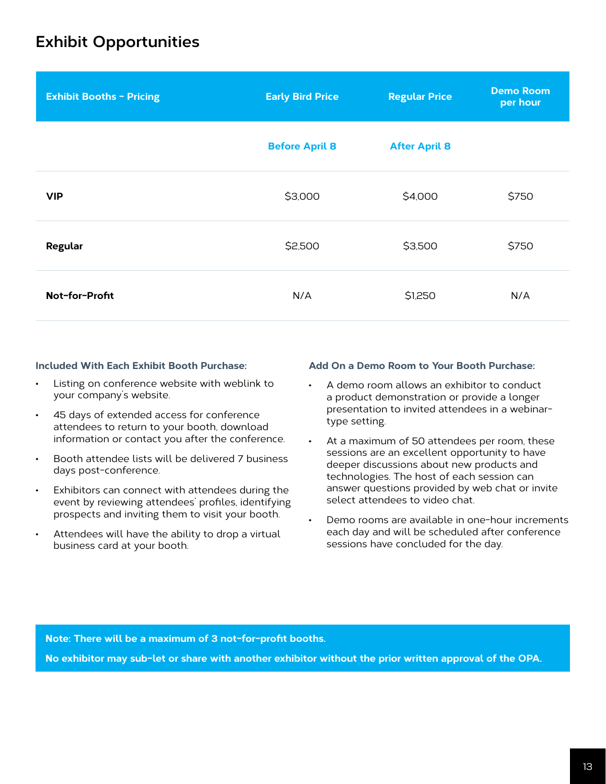### **Exhibit Opportunities**

| <b>Exhibit Booths - Pricing</b> | <b>Early Bird Price</b> | <b>Regular Price</b> | <b>Demo Room</b><br>per hour |
|---------------------------------|-------------------------|----------------------|------------------------------|
|                                 | <b>Before April 8</b>   | <b>After April 8</b> |                              |
| <b>VIP</b>                      | \$3,000                 | \$4,000              | \$750                        |
| Regular                         | \$2,500                 | \$3,500              | \$750                        |
| Not-for-Profit                  | N/A                     | \$1,250              | N/A                          |

#### **Included With Each Exhibit Booth Purchase:**

- Listing on conference website with weblink to your company's website.
- 45 days of extended access for conference attendees to return to your booth, download information or contact you after the conference.
- Booth attendee lists will be delivered 7 business days post-conference.
- Exhibitors can connect with attendees during the event by reviewing attendees' profiles, identifying prospects and inviting them to visit your booth.
- Attendees will have the ability to drop a virtual business card at your booth.

#### **Add On a Demo Room to Your Booth Purchase:**

- A demo room allows an exhibitor to conduct a product demonstration or provide a longer presentation to invited attendees in a webinartype setting.
- At a maximum of 50 attendees per room, these sessions are an excellent opportunity to have deeper discussions about new products and technologies. The host of each session can answer questions provided by web chat or invite select attendees to video chat.
- Demo rooms are available in one-hour increments each day and will be scheduled after conference sessions have concluded for the day.

**Note: There will be a maximum of 3 not-for-profit booths.**

**No exhibitor may sub-let or share with another exhibitor without the prior written approval of the OPA.**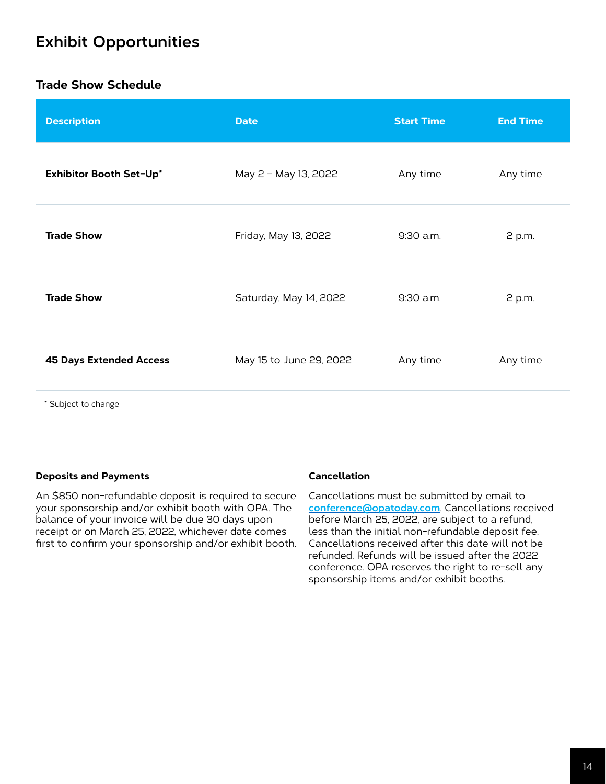### **Exhibit Opportunities**

#### **Trade Show Schedule**

| <b>Description</b>             | <b>Date</b>             | <b>Start Time</b> | <b>End Time</b> |
|--------------------------------|-------------------------|-------------------|-----------------|
| Exhibitor Booth Set-Up*        | May 2 - May 13, 2022    | Any time          | Any time        |
| <b>Trade Show</b>              | Friday, May 13, 2022    | 9:30 a.m.         | 2 p.m.          |
| <b>Trade Show</b>              | Saturday, May 14, 2022  | 9:30 a.m.         | 2 p.m.          |
| <b>45 Days Extended Access</b> | May 15 to June 29, 2022 | Any time          | Any time        |
|                                |                         |                   |                 |

\* Subject to change

#### **Deposits and Payments**

An \$850 non-refundable deposit is required to secure your sponsorship and/or exhibit booth with OPA. The balance of your invoice will be due 30 days upon receipt or on March 25, 2022, whichever date comes first to confirm your sponsorship and/or exhibit booth.

#### **Cancellation**

Cancellations must be submitted by email to **[conference@opatoday.com](mailto:conference%40opatoday.com?subject=Conference%20Cancellation)**. Cancellations received before March 25, 2022, are subject to a refund, less than the initial non-refundable deposit fee. Cancellations received after this date will not be refunded. Refunds will be issued after the 2022 conference. OPA reserves the right to re-sell any sponsorship items and/or exhibit booths.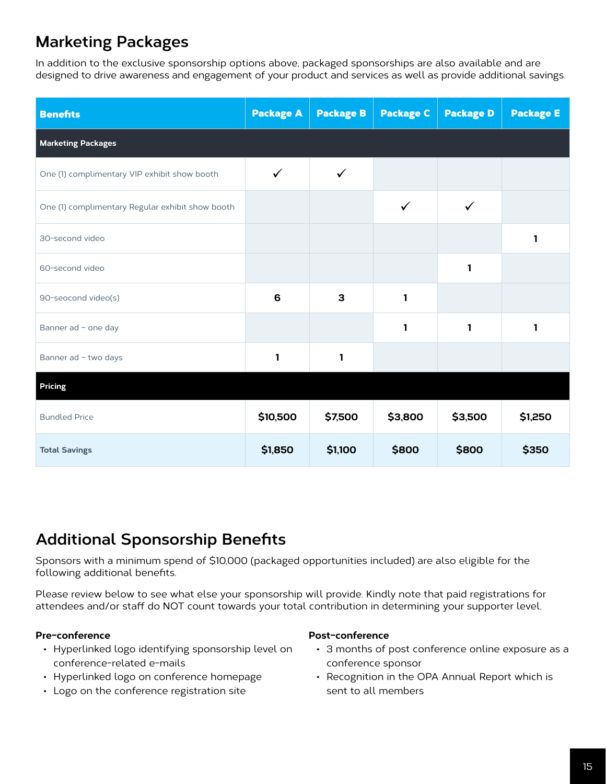### **Marketing Packages**

In addition to the exclusive sponsorship options above, packaged sponsorships are also available and are designed to drive awareness and engagement of your product and services as well as provide additional savings.

| <b>Benefits</b>                                  | <b>Package A</b> | <b>Package B</b> | <b>Package C</b> | <b>Package D</b> | <b>Package E</b> |  |
|--------------------------------------------------|------------------|------------------|------------------|------------------|------------------|--|
| <b>Marketing Packages</b>                        |                  |                  |                  |                  |                  |  |
| One (1) complimentary VIP exhibit show booth     | ✓                | $\checkmark$     |                  |                  |                  |  |
| One (1) complimentary Regular exhibit show booth |                  |                  | ✓                | ✓                |                  |  |
| 30-second video                                  |                  |                  |                  |                  | 1                |  |
| 60-second video                                  |                  |                  |                  | 1                |                  |  |
| 90-seocond video(s)                              | 6                | 3                | 1                |                  |                  |  |
| Banner ad - one day                              |                  |                  | 1                | 1                | 1                |  |
| Banner ad - two days                             | 1                | $\mathbf{1}$     |                  |                  |                  |  |
| <b>Pricing</b>                                   |                  |                  |                  |                  |                  |  |
| <b>Bundled Price</b>                             | \$10,500         | \$7,500          | \$3,800          | \$3,500          | \$1,250          |  |
| <b>Total Savings</b>                             | \$1,850          | \$1,100          | \$800            | \$800            | \$350            |  |

### **Additional Sponsorship Benefits**

Sponsors with a minimum spend of \$10,000 (packaged opportunities included) are also eligible for the following additional benefits.

Please review below to see what else your sponsorship will provide. Kindly note that paid registrations for attendees and/or staff do NOT count towards your total contribution in determining your supporter level.

#### **Pre-conference**

- Hyperlinked logo identifying sponsorship level on conference-related e-mails
- Hyperlinked logo on conference homepage
- Logo on the conference registration site

#### **Post-conference**

- 3 months of post conference online exposure as a conference sponsor
- Recognition in the OPA Annual Report which is sent to all members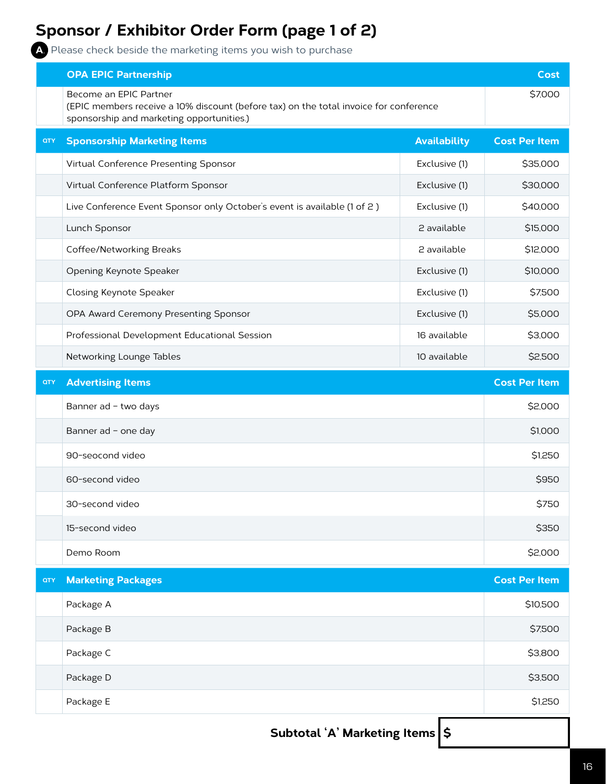### **Sponsor / Exhibitor Order Form (page 1 of 2)**

**A**. Please check beside the marketing items you wish to purchase

|            | <b>OPA EPIC Partnership</b><br>Become an EPIC Partner<br>(EPIC members receive a 10% discount (before tax) on the total invoice for conference<br>sponsorship and marketing opportunities.) |                     |                      |  |  |  |
|------------|---------------------------------------------------------------------------------------------------------------------------------------------------------------------------------------------|---------------------|----------------------|--|--|--|
| <b>QTY</b> | <b>Sponsorship Marketing Items</b>                                                                                                                                                          | <b>Availability</b> | <b>Cost Per Item</b> |  |  |  |
|            | Virtual Conference Presenting Sponsor                                                                                                                                                       | Exclusive (1)       | \$35,000             |  |  |  |
|            | Virtual Conference Platform Sponsor                                                                                                                                                         | Exclusive (1)       | \$30,000             |  |  |  |
|            | Live Conference Event Sponsor only October's event is available (1 of 2)                                                                                                                    | Exclusive (1)       | \$40,000             |  |  |  |
|            | Lunch Sponsor                                                                                                                                                                               | 2 available         | \$15,000             |  |  |  |
|            | Coffee/Networking Breaks                                                                                                                                                                    | 2 available         | \$12,000             |  |  |  |
|            | Opening Keynote Speaker                                                                                                                                                                     | Exclusive (1)       | \$10,000             |  |  |  |
|            | Closing Keynote Speaker                                                                                                                                                                     | Exclusive (1)       | \$7,500              |  |  |  |
|            | OPA Award Ceremony Presenting Sponsor                                                                                                                                                       | Exclusive (1)       | \$5,000              |  |  |  |
|            | Professional Development Educational Session                                                                                                                                                | 16 available        | \$3,000              |  |  |  |
|            | Networking Lounge Tables                                                                                                                                                                    | 10 available        | \$2,500              |  |  |  |
| QTY        | <b>Advertising Items</b>                                                                                                                                                                    |                     | <b>Cost Per Item</b> |  |  |  |
|            | Banner ad - two days                                                                                                                                                                        |                     | \$2,000              |  |  |  |
|            | Banner ad - one day                                                                                                                                                                         |                     |                      |  |  |  |
|            | 90-seocond video                                                                                                                                                                            |                     |                      |  |  |  |
|            | 60-second video                                                                                                                                                                             |                     |                      |  |  |  |
|            | 30-second video                                                                                                                                                                             |                     |                      |  |  |  |
|            | 15-second video                                                                                                                                                                             |                     |                      |  |  |  |
|            | Demo Room                                                                                                                                                                                   |                     | \$2,000              |  |  |  |
| QTY        | <b>Marketing Packages</b>                                                                                                                                                                   |                     | <b>Cost Per Item</b> |  |  |  |
|            | Package A                                                                                                                                                                                   |                     | \$10,500             |  |  |  |
|            | Package B                                                                                                                                                                                   |                     | \$7,500              |  |  |  |
|            | Package C                                                                                                                                                                                   |                     |                      |  |  |  |
|            | Package D                                                                                                                                                                                   |                     |                      |  |  |  |
|            | Package E                                                                                                                                                                                   |                     | \$1,250              |  |  |  |